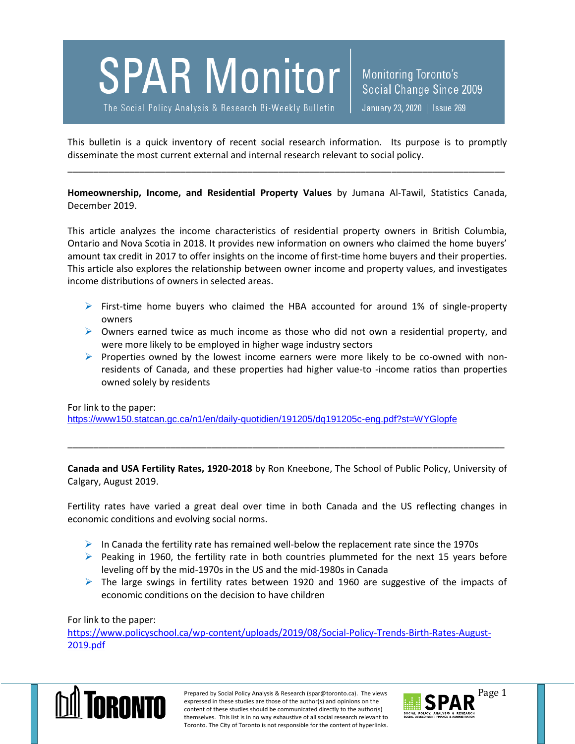

The Social Policy Analysis & Research Bi-Weekly Bulletin

Monitoring Toronto's Social Change Since 2009 January 23, 2020 | Issue 269

This bulletin is a quick inventory of recent social research information. Its purpose is to promptly disseminate the most current external and internal research relevant to social policy.

\_\_\_\_\_\_\_\_\_\_\_\_\_\_\_\_\_\_\_\_\_\_\_\_\_\_\_\_\_\_\_\_\_\_\_\_\_\_\_\_\_\_\_\_\_\_\_\_\_\_\_\_\_\_\_\_\_\_\_\_\_\_\_\_\_\_\_\_\_\_\_\_\_\_\_\_\_\_\_\_\_\_\_\_\_

**Homeownership, Income, and Residential Property Values** by Jumana Al-Tawil, Statistics Canada, December 2019.

This article analyzes the income characteristics of residential property owners in British Columbia, Ontario and Nova Scotia in 2018. It provides new information on owners who claimed the home buyers' amount tax credit in 2017 to offer insights on the income of first-time home buyers and their properties. This article also explores the relationship between owner income and property values, and investigates income distributions of owners in selected areas.

- $\triangleright$  First-time home buyers who claimed the HBA accounted for around 1% of single-property owners
- $\triangleright$  Owners earned twice as much income as those who did not own a residential property, and were more likely to be employed in higher wage industry sectors
- Properties owned by the lowest income earners were more likely to be co-owned with nonresidents of Canada, and these properties had higher value-to -income ratios than properties owned solely by residents

For link to the paper:

<https://www150.statcan.gc.ca/n1/en/daily-quotidien/191205/dq191205c-eng.pdf?st=WYGlopfe>

**Canada and USA Fertility Rates, 1920-2018** by Ron Kneebone, The School of Public Policy, University of Calgary, August 2019.

\_\_\_\_\_\_\_\_\_\_\_\_\_\_\_\_\_\_\_\_\_\_\_\_\_\_\_\_\_\_\_\_\_\_\_\_\_\_\_\_\_\_\_\_\_\_\_\_\_\_\_\_\_\_\_\_\_\_\_\_\_\_\_\_\_\_\_\_\_\_\_\_\_\_\_\_\_\_\_\_\_\_\_\_\_

Fertility rates have varied a great deal over time in both Canada and the US reflecting changes in economic conditions and evolving social norms.

- $\triangleright$  In Canada the fertility rate has remained well-below the replacement rate since the 1970s
- $\triangleright$  Peaking in 1960, the fertility rate in both countries plummeted for the next 15 years before leveling off by the mid-1970s in the US and the mid-1980s in Canada
- $\triangleright$  The large swings in fertility rates between 1920 and 1960 are suggestive of the impacts of economic conditions on the decision to have children

For link to the paper:

[https://www.policyschool.ca/wp-content/uploads/2019/08/Social-Policy-Trends-Birth-Rates-August-](https://www.policyschool.ca/wp-content/uploads/2019/08/Social-Policy-Trends-Birth-Rates-August-2019.pdf)[2019.pdf](https://www.policyschool.ca/wp-content/uploads/2019/08/Social-Policy-Trends-Birth-Rates-August-2019.pdf)



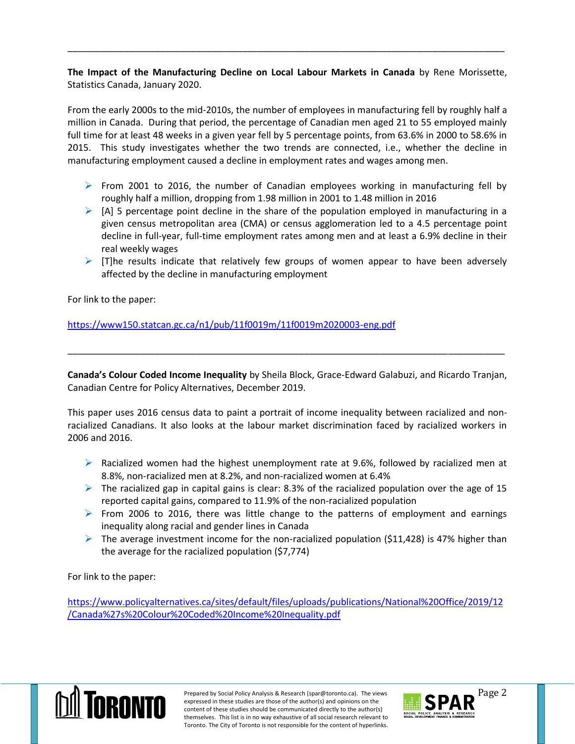**The Impact of the Manufacturing Decline on Local Labour Markets in Canada** by Rene Morissette, Statistics Canada, January 2020.

\_\_\_\_\_\_\_\_\_\_\_\_\_\_\_\_\_\_\_\_\_\_\_\_\_\_\_\_\_\_\_\_\_\_\_\_\_\_\_\_\_\_\_\_\_\_\_\_\_\_\_\_\_\_\_\_\_\_\_\_\_\_\_\_\_\_\_\_\_\_\_\_\_\_\_\_\_\_\_\_\_\_\_\_\_

From the early 2000s to the mid-2010s, the number of employees in manufacturing fell by roughly half a million in Canada. During that period, the percentage of Canadian men aged 21 to 55 employed mainly full time for at least 48 weeks in a given year fell by 5 percentage points, from 63.6% in 2000 to 58.6% in 2015. This study investigates whether the two trends are connected, i.e., whether the decline in manufacturing employment caused a decline in employment rates and wages among men.

- From 2001 to 2016, the number of Canadian employees working in manufacturing fell by roughly half a million, dropping from 1.98 million in 2001 to 1.48 million in 2016
- $\triangleright$  [A] 5 percentage point decline in the share of the population employed in manufacturing in a given census metropolitan area (CMA) or census agglomeration led to a 4.5 percentage point decline in full-year, full-time employment rates among men and at least a 6.9% decline in their real weekly wages
- $\triangleright$  [T]he results indicate that relatively few groups of women appear to have been adversely affected by the decline in manufacturing employment

For link to the paper:

<https://www150.statcan.gc.ca/n1/pub/11f0019m/11f0019m2020003-eng.pdf>

**Canada's Colour Coded Income Inequality** by Sheila Block, Grace-Edward Galabuzi, and Ricardo Tranjan, Canadian Centre for Policy Alternatives, December 2019.

\_\_\_\_\_\_\_\_\_\_\_\_\_\_\_\_\_\_\_\_\_\_\_\_\_\_\_\_\_\_\_\_\_\_\_\_\_\_\_\_\_\_\_\_\_\_\_\_\_\_\_\_\_\_\_\_\_\_\_\_\_\_\_\_\_\_\_\_\_\_\_\_\_\_\_\_\_\_\_\_\_\_\_\_\_

This paper uses 2016 census data to paint a portrait of income inequality between racialized and nonracialized Canadians. It also looks at the labour market discrimination faced by racialized workers in 2006 and 2016.

- $\triangleright$  Racialized women had the highest unemployment rate at 9.6%, followed by racialized men at 8.8%, non-racialized men at 8.2%, and non-racialized women at 6.4%
- $\triangleright$  The racialized gap in capital gains is clear: 8.3% of the racialized population over the age of 15 reported capital gains, compared to 11.9% of the non-racialized population
- $\triangleright$  From 2006 to 2016, there was little change to the patterns of employment and earnings inequality along racial and gender lines in Canada
- $\triangleright$  The average investment income for the non-racialized population (\$11,428) is 47% higher than the average for the racialized population (\$7,774)

For link to the paper:

[https://www.policyalternatives.ca/sites/default/files/uploads/publications/National%20Office/2019/12](https://www.policyalternatives.ca/sites/default/files/uploads/publications/National%20Office/2019/12/Canada%27s%20Colour%20Coded%20Income%20Inequality.pdf) [/Canada%27s%20Colour%20Coded%20Income%20Inequality.pdf](https://www.policyalternatives.ca/sites/default/files/uploads/publications/National%20Office/2019/12/Canada%27s%20Colour%20Coded%20Income%20Inequality.pdf)